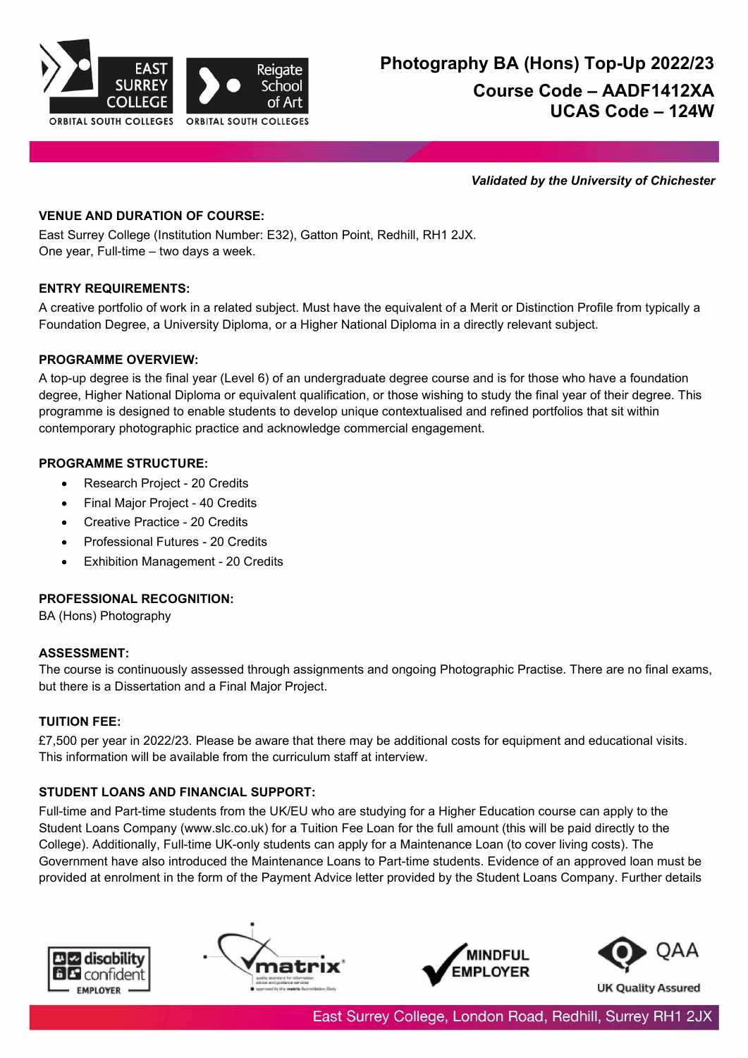

*Validated by the University of Chichester*

# **VENUE AND DURATION OF COURSE:**

East Surrey College (Institution Number: E32), Gatton Point, Redhill, RH1 2JX. One year, Full-time – two days a week.

## **ENTRY REQUIREMENTS:**

A creative portfolio of work in a related subject. Must have the equivalent of a Merit or Distinction Profile from typically a Foundation Degree, a University Diploma, or a Higher National Diploma in a directly relevant subject.

## **PROGRAMME OVERVIEW:**

A top-up degree is the final year (Level 6) of an undergraduate degree course and is for those who have a foundation degree, Higher National Diploma or equivalent qualification, or those wishing to study the final year of their degree. This programme is designed to enable students to develop unique contextualised and refined portfolios that sit within contemporary photographic practice and acknowledge commercial engagement.

# **PROGRAMME STRUCTURE:**

- Research Project 20 Credits
- Final Major Project 40 Credits
- Creative Practice 20 Credits
- Professional Futures 20 Credits
- Exhibition Management 20 Credits

# **PROFESSIONAL RECOGNITION:**

BA (Hons) Photography

## **ASSESSMENT:**

The course is continuously assessed through assignments and ongoing Photographic Practise. There are no final exams, but there is a Dissertation and a Final Major Project.

## **TUITION FEE:**

£7,500 per year in 2022/23. Please be aware that there may be additional costs for equipment and educational visits. This information will be available from the curriculum staff at interview.

# **STUDENT LOANS AND FINANCIAL SUPPORT:**

Full-time and Part-time students from the UK/EU who are studying for a Higher Education course can apply to the Student Loans Company (www.slc.co.uk) for a Tuition Fee Loan for the full amount (this will be paid directly to the College). Additionally, Full-time UK-only students can apply for a Maintenance Loan (to cover living costs). The Government have also introduced the Maintenance Loans to Part-time students. Evidence of an approved loan must be provided at enrolment in the form of the Payment Advice letter provided by the Student Loans Company. Further details